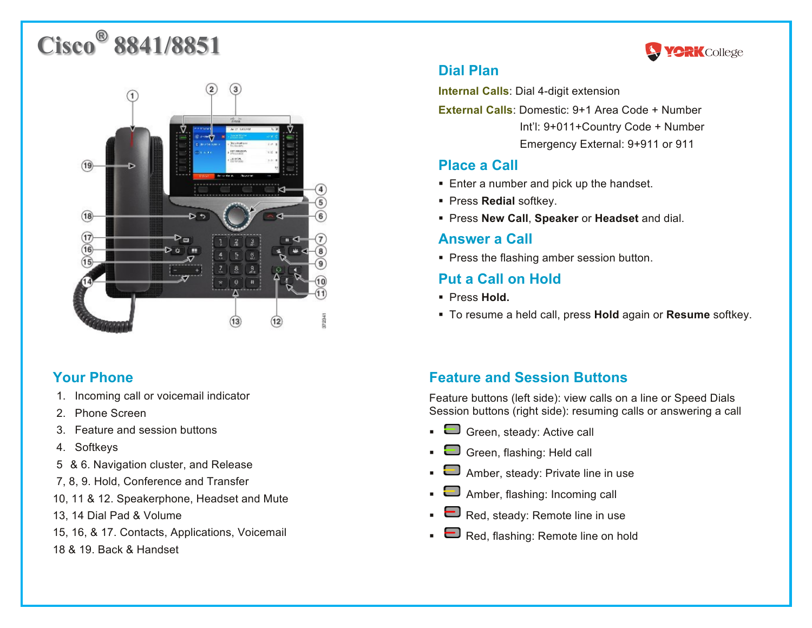# **Cisco® 8841/8851**



## **Your Phone**

- 1. Incoming call or voicemail indicator
- 2. Phone Screen
- 3. Feature and session buttons
- 4. Softkeys
- 5 & 6. Navigation cluster, and Release
- 7, 8, 9. Hold, Conference and Transfer
- 10, 11 & 12. Speakerphone, Headset and Mute
- 13, 14 Dial Pad & Volume
- 15, 16, & 17. Contacts, Applications, Voicemail
- 18 & 19. Back & Handset



# **Dial Plan**

**Internal Calls**: Dial 4-digit extension

**External Calls**: Domestic: 9+1 Area Code + Number Int'l: 9+011+Country Code + Number Emergency External: 9+911 or 911

# **Place a Call**

- Enter a number and pick up the handset.
- § Press **Redial** softkey.
- § Press **New Call**, **Speaker** or **Headset** and dial.

## **Answer a Call**

■ Press the flashing amber session button.

# **Put a Call on Hold**

- § Press **Hold.**
- § To resume a held call, press **Hold** again or **Resume** softkey.

# **Feature and Session Buttons**

Feature buttons (left side): view calls on a line or Speed Dials Session buttons (right side): resuming calls or answering a call

- $\blacksquare$  Green, steady: Active call
- Green, flashing: Held call
- $\Box$  Amber, steady: Private line in use
- $\bullet$   $\blacksquare$  Amber, flashing: Incoming call
- $\bullet$  Red, steady: Remote line in use
- $\bullet$   $\blacksquare$  Red, flashing: Remote line on hold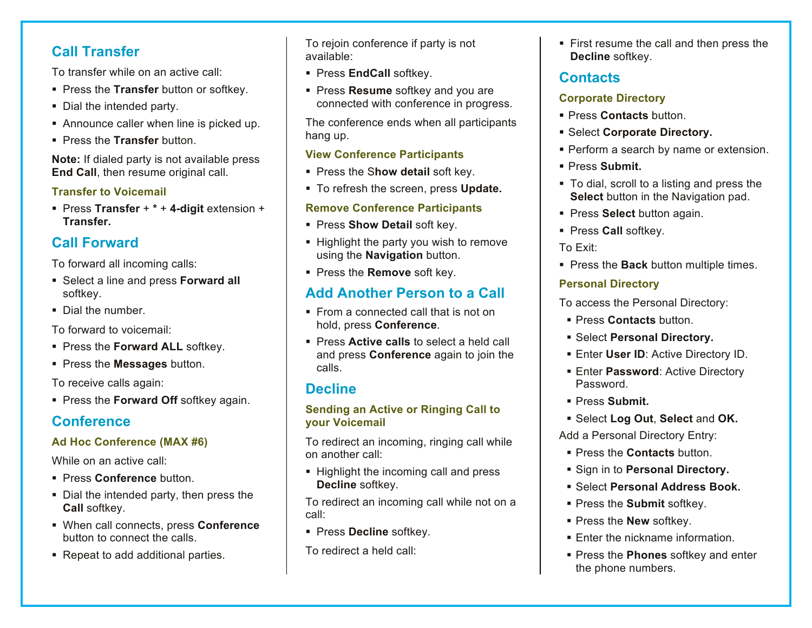# **Call Transfer**

To transfer while on an active call:

- **Press the Transfer** button or softkey.
- Dial the intended party.
- Announce caller when line is picked up.
- § Press the **Transfer** button.

**Note:** If dialed party is not available press **End Call**, then resume original call.

#### **Transfer to Voicemail**

§ Press **Transfer** + **\*** + **4-digit** extension + **Transfer.**

# **Call Forward**

To forward all incoming calls:

- Select a line and press **Forward all** softkey.
- § Dial the number.

To forward to voicemail:

- **Press the Forward ALL softkey.**
- § Press the **Messages** button.

To receive calls again:

§ Press the **Forward Off** softkey again.

# **Conference**

## **Ad Hoc Conference (MAX #6)**

While on an active call:

- § Press **Conference** button.
- Dial the intended party, then press the **Call** softkey.
- § When call connects, press **Conference** button to connect the calls.
- Repeat to add additional parties.

To rejoin conference if party is not available:

- **Press EndCall softkey.**
- § Press **Resume** softkey and you are connected with conference in progress.

The conference ends when all participants hang up.

#### **View Conference Participants**

- **Press the Show detail soft key.**
- § To refresh the screen, press **Update.**

#### **Remove Conference Participants**

- **Press Show Detail soft key.**
- Highlight the party you wish to remove using the **Navigation** button.
- § Press the **Remove** soft key.

# **Add Another Person to a Call**

- From a connected call that is not on hold, press **Conference**.
- § Press **Active calls** to select a held call and press **Conference** again to join the calls.

# **Decline**

#### **Sending an Active or Ringing Call to your Voicemail**

To redirect an incoming, ringing call while on another call:

§ Highlight the incoming call and press **Decline** softkey.

To redirect an incoming call while not on a call:

- **Press Decline softkey.**
- To redirect a held call:

• First resume the call and then press the **Decline** softkey.

## **Contacts**

## **Corporate Directory**

- § Press **Contacts** button.
- § Select **Corporate Directory.**
- **Perform a search by name or extension.**
- § Press **Submit.**
- To dial, scroll to a listing and press the **Select** button in the Navigation pad.
- § Press **Select** button again.
- § Press **Call** softkey.

#### To Exit:

**• Press the Back** button multiple times.

## **Personal Directory**

To access the Personal Directory:

- Press **Contacts** button
- § Select **Personal Directory.**
- Enter User ID: Active Directory ID.
- **Enter Password: Active Directory** Password.
- § Press **Submit.**
- § Select **Log Out**, **Select** and **OK.**

Add a Personal Directory Entry:

- § Press the **Contacts** button.
- § Sign in to **Personal Directory.**
- § Select **Personal Address Book.**
- § Press the **Submit** softkey.
- § Press the **New** softkey.
- Enter the nickname information.
- § Press the **Phones** softkey and enter the phone numbers.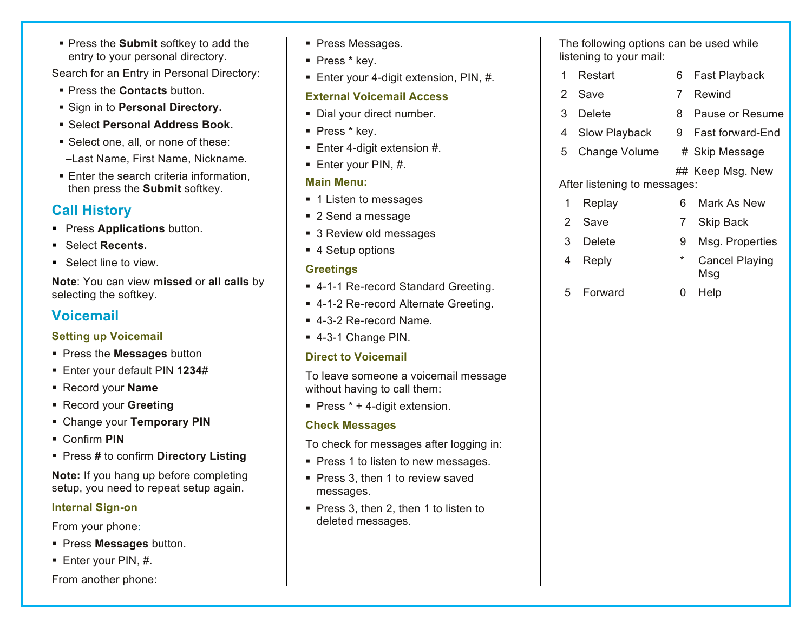§ Press the **Submit** softkey to add the entry to your personal directory.

Search for an Entry in Personal Directory:

- § Press the **Contacts** button.
- § Sign in to **Personal Directory.**
- § Select **Personal Address Book.**
- Select one, all, or none of these:
- –Last Name, First Name, Nickname.
- Enter the search criteria information, then press the **Submit** softkey.

# **Call History**

- **Press Applications** button.
- § Select **Recents.**
- Select line to view.

**Note**: You can view **missed** or **all calls** by selecting the softkey.

# **Voicemail**

#### **Setting up Voicemail**

- § Press the **Messages** button
- § Enter your default PIN **1234**#
- § Record your **Name**
- § Record your **Greeting**
- § Change your **Temporary PIN**
- § Confirm **PIN**
- § Press **#** to confirm **Directory Listing**

**Note:** If you hang up before completing setup, you need to repeat setup again.

## **Internal Sign-on**

From your phone:

- § Press **Messages** button.
- § Enter your PIN, #.

#### From another phone:

- Press Messages.
- § Press **\*** key.
- Enter your 4-digit extension, PIN, #.

#### **External Voicemail Access**

- Dial your direct number.
- § Press **\*** key.
- Enter 4-digit extension #.
- Enter your PIN, #.

## **Main Menu:**

- 1 Listen to messages
- 2 Send a message
- 3 Review old messages
- 4 Setup options

## **Greetings**

- 4-1-1 Re-record Standard Greeting.
- 4-1-2 Re-record Alternate Greeting.
- § 4-3-2 Re-record Name.
- § 4-3-1 Change PIN.

## **Direct to Voicemail**

To leave someone a voicemail message without having to call them:

Press  $* + 4$ -digit extension.

## **Check Messages**

- To check for messages after logging in:
- Press 1 to listen to new messages.
- Press 3, then 1 to review saved messages.
- § Press 3, then 2, then 1 to listen to deleted messages.

The following options can be used while listening to your mail:

- 1 Restart 6 Fast Playback 2 Save 7 Rewind 3 Delete 8 Pause or Resume 4 Slow Playback 9 Fast forward-End 5 Change Volume # Skip Message ## Keep Msg. New After listening to messages: 1 Replay 6 Mark As New 2 Save 7 Skip Back 3 Delete 9 Msg. Properties 4 Reply \* Cancel Playing Msg
	- 5 Forward 0 Help